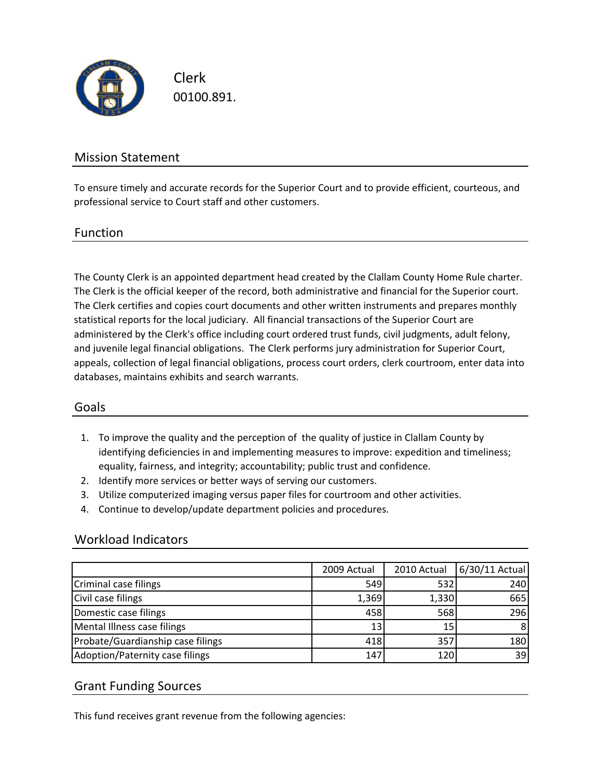

Clerk 00100.891.

## Mission Statement

To ensure timely and accurate records for the Superior Court and to provide efficient, courteous, and professional service to Court staff and other customers.

#### Function

The County Clerk is an appointed department head created by the Clallam County Home Rule charter. The Clerk is the official keeper of the record, both administrative and financial for the Superior court. The Clerk certifies and copies court documents and other written instruments and prepares monthly statistical reports for the local judiciary. All financial transactions of the Superior Court are administered by the Clerk's office including court ordered trust funds, civil judgments, adult felony, and juvenile legal financial obligations. The Clerk performs jury administration for Superior Court, appeals, collection of legal financial obligations, process court orders, clerk courtroom, enter data into databases, maintains exhibits and search warrants.

## Goals

- 1. To improve the quality and the perception of the quality of justice in Clallam County by identifying deficiencies in and implementing measures to improve: expedition and timeliness; equality, fairness, and integrity; accountability; public trust and confidence.
- 2. Identify more services or better ways of serving our customers.
- 3. Utilize computerized imaging versus paper files for courtroom and other activities.
- 4. Continue to develop/update department policies and procedures.

#### Workload Indicators

|                                   | 2009 Actual | 2010 Actual     | 6/30/11 Actual |
|-----------------------------------|-------------|-----------------|----------------|
| Criminal case filings             | 549         | 532             | 240            |
| Civil case filings                | 1,369       | 1,330           | 665            |
| Domestic case filings             | 458         | 568             | 296            |
| Mental Illness case filings       | 13          | 15 <sub>1</sub> |                |
| Probate/Guardianship case filings | 418         | 357             | 180            |
| Adoption/Paternity case filings   | 147         | 12 <sub>C</sub> | 39             |

## Grant Funding Sources

This fund receives grant revenue from the following agencies: